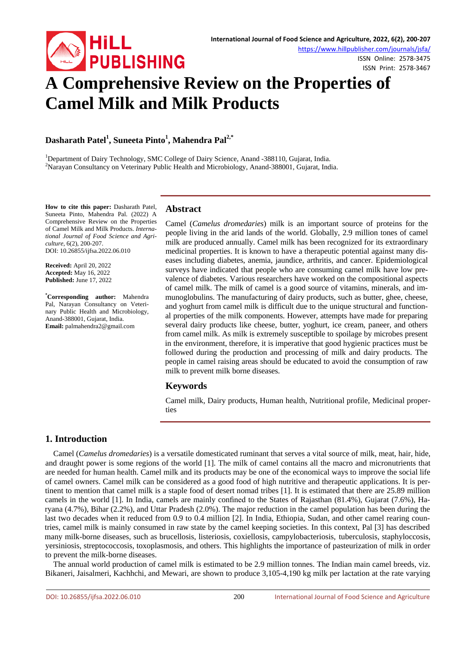

<https://www.hillpublisher.com/journals/jsfa/> ISSN Online: 2578-3475

ISSN Print: 2578-3467

# **A Comprehensive Review on the Properties of Camel Milk and Milk Products**

**Dasharath Patel<sup>1</sup> , Suneeta Pinto1 , Mahendra Pal2,\***

<sup>1</sup>Department of Dairy Technology, SMC College of Dairy Science, Anand -388110, Gujarat, India. <sup>2</sup>Narayan Consultancy on Veterinary Public Health and Microbiology, Anand-388001, Gujarat, India.

**How to cite this paper:** Dasharath Patel, Suneeta Pinto, Mahendra Pal. (2022) A Comprehensive Review on the Properties of Camel Milk and Milk Products. *International Journal of Food Science and Agriculture*, 6(2), 200-207. DOI: 10.26855/ijfsa.2022.06.010

**Received:** April 20, 2022 **Accepted:** May 16, 2022 **Published:** June 17, 2022

**\* Corresponding author:** Mahendra Pal, Narayan Consultancy on Veterinary Public Health and Microbiology, Anand-388001, Gujarat, India. **Email:** palmahendra2@gmail.com

# **Abstract**

Camel (*Camelus dromedaries*) milk is an important source of proteins for the people living in the arid lands of the world. Globally, 2.9 million tones of camel milk are produced annually. Camel milk has been recognized for its extraordinary medicinal properties. It is known to have a therapeutic potential against many diseases including diabetes, anemia, jaundice, arthritis, and cancer. Epidemiological surveys have indicated that people who are consuming camel milk have low prevalence of diabetes. Various researchers have worked on the compositional aspects of camel milk. The milk of camel is a good source of vitamins, minerals, and immunoglobulins. The manufacturing of dairy products, such as butter, ghee, cheese, and yoghurt from camel milk is difficult due to the unique structural and functional properties of the milk components. However, attempts have made for preparing several dairy products like cheese, butter, yoghurt, ice cream, paneer, and others from camel milk. As milk is extremely susceptible to spoilage by microbes present in the environment, therefore, it is imperative that good hygienic practices must be followed during the production and processing of milk and dairy products. The people in camel raising areas should be educated to avoid the consumption of raw milk to prevent milk borne diseases.

# **Keywords**

Camel milk, Dairy products, Human health, Nutritional profile, Medicinal properties

# **1. Introduction**

Camel (*Camelus dromedaries*) is a versatile domesticated ruminant that serves a vital source of milk, meat, hair, hide, and draught power is some regions of the world [1]. The milk of camel contains all the macro and micronutrients that are needed for human health. Camel milk and its products may be one of the economical ways to improve the social life of camel owners. Camel milk can be considered as a good food of high nutritive and therapeutic applications. It is pertinent to mention that camel milk is a staple food of desert nomad tribes [1]. It is estimated that there are 25.89 million camels in the world [1]. In India, camels are mainly confined to the States of Rajasthan (81.4%), Gujarat (7.6%), Haryana (4.7%), Bihar (2.2%), and Uttar Pradesh (2.0%). The major reduction in the camel population has been during the last two decades when it reduced from 0.9 to 0.4 million [2]. In India, Ethiopia, Sudan, and other camel rearing countries, camel milk is mainly consumed in raw state by the camel keeping societies. In this context, Pal [3] has described many milk-borne diseases, such as brucellosis, listeriosis, coxiellosis, campylobacteriosis, tuberculosis, staphyloccosis, yersiniosis, streptococcosis, toxoplasmosis, and others. This highlights the importance of pasteurization of milk in order to prevent the milk-borne diseases.

The annual world production of camel milk is estimated to be 2.9 million tonnes. The Indian main camel breeds, viz. Bikaneri, Jaisalmeri, Kachhchi, and Mewari, are shown to produce 3,105-4,190 kg milk per lactation at the rate varying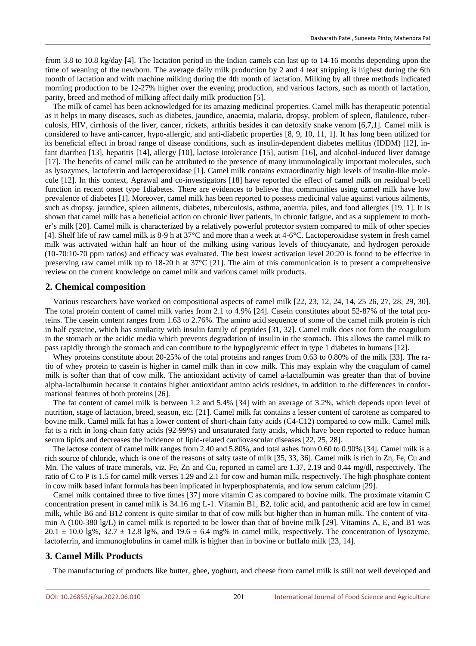from 3.8 to 10.8 kg/day [4]. The lactation period in the Indian camels can last up to 14-16 months depending upon the time of weaning of the newborn. The average daily milk production by 2 and 4 teat stripping is highest during the 6th month of lactation and with machine milking during the 4th month of lactation. Milking by all three methods indicated morning production to be 12-27% higher over the evening production, and various factors, such as month of lactation, parity, breed and method of milking affect daily milk production [5].

The milk of camel has been acknowledged for its amazing medicinal properties. Camel milk has therapeutic potential as it helps in many diseases, such as diabetes, jaundice, anaemia, malaria, dropsy, problem of spleen, flatulence, tuberculosis, HIV, cirrhosis of the liver, cancer, rickets, arthritis besides it can detoxify snake venom [6,7,1]. Camel milk is considered to have anti-cancer, hypo-allergic, and anti-diabetic properties [8, 9, 10, 11, 1]. It has long been utilized for its beneficial effect in broad range of disease conditions, such as insulin-dependent diabetes mellitus (IDDM) [12], infant diarrhea [13], hepatitis [14], allergy [10], lactose intolerance [15], autism [16], and alcohol-induced liver damage [17]. The benefits of camel milk can be attributed to the presence of many immunologically important molecules, such as lysozymes, lactoferrin and lactoperoxidase [1]. Camel milk contains extraordinarily high levels of insulin-like molecule [12]. In this context, Agrawal and co-investigators [18] have reported the effect of camel milk on residual b-cell function in recent onset type 1diabetes. There are evidences to believe that communities using camel milk have low prevalence of diabetes [1]. Moreover, camel milk has been reported to possess medicinal value against various ailments, such as dropsy, jaundice, spleen ailments, diabetes, tuberculosis, asthma, anemia, piles, and food allergies [19, 1]. It is shown that camel milk has a beneficial action on chronic liver patients, in chronic fatigue, and as a supplement to mother's milk [20]. Camel milk is characterized by a relatively powerful protector system compared to milk of other species [4]. Shelf life of raw camel milk is 8-9 h at 37°C and more than a week at 4-6°C. Lactoperoxidase system in fresh camel milk was activated within half an hour of the milking using various levels of thiocyanate, and hydrogen peroxide (10-70:10-70 ppm ratios) and efficacy was evaluated. The best lowest activation level 20:20 is found to be effective in preserving raw camel milk up to 18-20 h at 37°C [21]. The aim of this communication is to present a comprehensive review on the current knowledge on camel milk and various camel milk products.

#### **2. Chemical composition**

Various researchers have worked on compositional aspects of camel milk [22, 23, 12, 24, 14, 25 26, 27, 28, 29, 30]. The total protein content of camel milk varies from 2.1 to 4.9% [24]. Casein constitutes about 52-87% of the total proteins. The casein content ranges from 1.63 to 2.76%. The amino acid sequence of some of the camel milk protein is rich in half cysteine, which has similarity with insulin family of peptides [31, 32]. Camel milk does not form the coagulum in the stomach or the acidic media which prevents degradation of insulin in the stomach. This allows the camel milk to pass rapidly through the stomach and can contribute to the hypoglycemic effect in type 1 diabetes in humans [12].

Whey proteins constitute about 20-25% of the total proteins and ranges from 0.63 to 0.80% of the milk [33]. The ratio of whey protein to casein is higher in camel milk than in cow milk. This may explain why the coagulum of camel milk is softer than that of cow milk. The antioxidant activity of camel a-lactalbumin was greater than that of bovine alpha-lactalbumin because it contains higher antioxidant amino acids residues, in addition to the differences in conformational features of both proteins [26].

The fat content of camel milk is between 1.2 and 5.4% [34] with an average of 3.2%, which depends upon level of nutrition, stage of lactation, breed, season, etc. [21]. Camel milk fat contains a lesser content of carotene as compared to bovine milk. Camel milk fat has a lower content of short-chain fatty acids (C4-C12) compared to cow milk. Camel milk fat is a rich in long-chain fatty acids (92-99%) and unsaturated fatty acids, which have been reported to reduce human serum lipids and decreases the incidence of lipid-related cardiovascular diseases [22, 25, 28].

The lactose content of camel milk ranges from 2.40 and 5.80%, and total ashes from 0.60 to 0.90% [34]. Camel milk is a rich source of chloride, which is one of the reasons of salty taste of milk [35, 33, 36]. Camel milk is rich in Zn, Fe, Cu and Mn. The values of trace minerals, viz. Fe, Zn and Cu, reported in camel are 1.37, 2.19 and 0.44 mg/dl, respectively. The ratio of C to P is 1.5 for camel milk verses 1.29 and 2.1 for cow and human milk, respectively. The high phosphate content in cow milk based infant formula has been implicated in hyperphosphatemia, and low serum calcium [29].

Camel milk contained three to five times [37] more vitamin C as compared to bovine milk. The proximate vitamin C concentration present in camel milk is 34.16 mg L-1. Vitamin B1, B2, folic acid, and pantothenic acid are low in camel milk, while B6 and B12 content is quite similar to that of cow milk but higher than in human milk. The content of vitamin A (100-380 lg/L) in camel milk is reported to be lower than that of bovine milk [29]. Vitamins A, E, and B1 was  $20.1 \pm 10.0$  lg%,  $32.7 \pm 12.8$  lg%, and  $19.6 \pm 6.4$  mg% in camel milk, respectively. The concentration of lysozyme, lactoferrin, and immunoglobulins in camel milk is higher than in bovine or buffalo milk [23, 14].

## **3. Camel Milk Products**

The manufacturing of products like butter, ghee, yoghurt, and cheese from camel milk is still not well developed and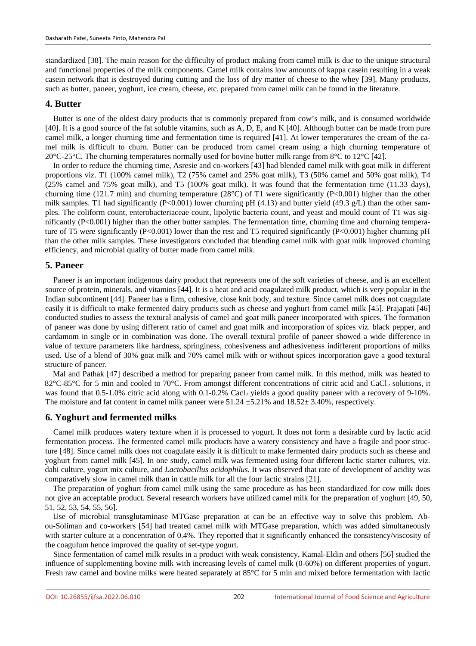standardized [38]. The main reason for the difficulty of product making from camel milk is due to the unique structural and functional properties of the milk components. Camel milk contains low amounts of kappa casein resulting in a weak casein network that is destroyed during cutting and the loss of dry matter of cheese to the whey [39]. Many products, such as butter, paneer, yoghurt, ice cream, cheese, etc. prepared from camel milk can be found in the literature.

## **4. Butter**

Butter is one of the oldest dairy products that is commonly prepared from cow's milk, and is consumed worldwide [40]. It is a good source of the fat soluble vitamins, such as A, D, E, and K [40]. Although butter can be made from pure camel milk, a longer churning time and fermentation time is required [41]. At lower temperatures the cream of the camel milk is difficult to churn. Butter can be produced from camel cream using a high churning temperature of 20°C-25°C. The churning temperatures normally used for bovine butter milk range from 8°C to 12°C [42].

In order to reduce the churning time, Asresie and co-workers [43] had blended camel milk with goat milk in different proportions viz. T1 (100% camel milk), T2 (75% camel and 25% goat milk), T3 (50% camel and 50% goat milk), T4 (25% camel and 75% goat milk), and T5 (100% goat milk). It was found that the fermentation time (11.33 days), churning time (121.7 min) and churning temperature (28 $^{\circ}$ C) of T1 were significantly (P<0.001) higher than the other milk samples. T1 had significantly (P<0.001) lower churning pH (4.13) and butter yield (49.3 g/L) than the other samples. The coliform count, enterobacteriaceae count, lipolytic bacteria count, and yeast and mould count of T1 was significantly (P<0.001) higher than the other butter samples. The fermentation time, churning time and churning temperature of T5 were significantly (P<0.001) lower than the rest and T5 required significantly (P<0.001) higher churning pH than the other milk samples. These investigators concluded that blending camel milk with goat milk improved churning efficiency, and microbial quality of butter made from camel milk.

## **5. Paneer**

Paneer is an important indigenous dairy product that represents one of the soft varieties of cheese, and is an excellent source of protein, minerals, and vitamins [44]. It is a heat and acid coagulated milk product, which is very popular in the Indian subcontinent [44]. Paneer has a firm, cohesive, close knit body, and texture. Since camel milk does not coagulate easily it is difficult to make fermented dairy products such as cheese and yoghurt from camel milk [45]. Prajapati [46] conducted studies to assess the textural analysis of camel and goat milk paneer incorporated with spices. The formation of paneer was done by using different ratio of camel and goat milk and incorporation of spices viz. black pepper, and cardamom in single or in combination was done. The overall textural profile of paneer showed a wide difference in value of texture parameters like hardness, springiness, cohesiveness and adhesiveness indifferent proportions of milks used. Use of a blend of 30% goat milk and 70% camel milk with or without spices incorporation gave a good textural structure of paneer.

Mal and Pathak [47] described a method for preparing paneer from camel milk. In this method, milk was heated to 82°C-85°C for 5 min and cooled to 70°C. From amongst different concentrations of citric acid and CaCl<sub>2</sub> solutions, it was found that 0.5-1.0% citric acid along with 0.1-0.2% Cacl<sub>2</sub> yields a good quality paneer with a recovery of 9-10%. The moisture and fat content in camel milk paneer were  $51.24 \pm 5.21\%$  and  $18.52 \pm 3.40\%$ , respectively.

# **6. Yoghurt and fermented milks**

Camel milk produces watery texture when it is processed to yogurt. It does not form a desirable curd by lactic acid fermentation process. The fermented camel milk products have a watery consistency and have a fragile and poor structure [48]. Since camel milk does not coagulate easily it is difficult to make fermented dairy products such as cheese and yoghurt from camel milk [45]. In one study, camel milk was fermented using four different lactic starter cultures, viz. dahi culture, yogurt mix culture, and *Lactobacillus acidophilus.* It was observed that rate of development of acidity was comparatively slow in camel milk than in cattle milk for all the four lactic strains [21].

The preparation of yoghurt from camel milk using the same procedure as has been standardized for cow milk does not give an acceptable product. Several research workers have utilized camel milk for the preparation of yoghurt [49, 50, 51, 52, 53, 54, 55, 56].

Use of microbial transglutaminase MTGase preparation at can be an effective way to solve this problem. Abou-Soliman and co-workers [54] had treated camel milk with MTGase preparation, which was added simultaneously with starter culture at a concentration of 0.4%. They reported that it significantly enhanced the consistency/viscosity of the coagulum hence improved the quality of set-type yogurt.

Since fermentation of camel milk results in a product with weak consistency, Kamal-Eldin and others [56] studied the influence of supplementing bovine milk with increasing levels of camel milk (0-60%) on different properties of yogurt. Fresh raw camel and bovine milks were heated separately at 85°C for 5 min and mixed before fermentation with lactic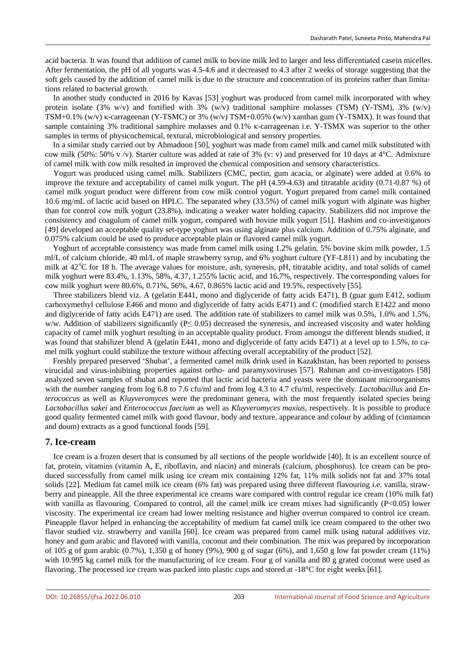acid bacteria. It was found that addition of camel milk to bovine milk led to larger and less differentiated casein micelles. After fermentation, the pH of all yogurts was 4.5-4.6 and it decreased to 4.3 after 2 weeks of storage suggesting that the soft gels caused by the addition of camel milk is due to the structure and concentration of its proteins rather than limitations related to bacterial growth.

In another study conducted in 2016 by Kavas [53] yoghurt was produced from camel milk incorporated with whey protein isolate (3% w/v) and fortified with 3% (w/v) traditional samphire molasses (TSM) (Y-TSM), 3% (w/v) TSM+0.1% (w/v) κ-carrageenan (Y-TSMC) or 3% (w/v) TSM+0.05% (w/v) xanthan gum (Y-TSMX). It was found that sample containing 3% traditional samphire molasses and 0.1% κ-carrageenan i.e. Y-TSMX was superior to the other samples in terms of physicochemical, textural, microbiological and sensory properties.

In a similar study carried out by Ahmadoon [50], yoghurt was made from camel milk and camel milk substituted with cow milk (50%: 50% v /v). Starter culture was added at rate of 3% (v: v) and preserved for 10 days at  $4^{\circ}$ C. Admixture of camel milk with cow milk resulted in improved the chemical composition and sensory characteristics.

Yogurt was produced using camel milk. Stabilizers (CMC, pectin, gum acacia, or alginate) were added at 0.6% to improve the texture and acceptability of camel milk yogurt. The pH (4.59-4.63) and titratable acidity (0.71-0.87 %) of camel milk yogurt product were different from cow milk control yogurt. Yogurt prepared from camel milk contained 10.6 mg/mL of lactic acid based on HPLC. The separated whey (33.5%) of camel milk yogurt with alginate was higher than for control cow milk yogurt (23.8%), indicating a weaker water holding capacity. Stabilizers did not improve the consistency and coagulum of camel milk yogurt, compared with bovine milk yogurt [51]. Hashim and co-investigators [49] developed an acceptable quality set-type yoghurt was using alginate plus calcium. Addition of 0.75% alginate, and 0.075% calcium could be used to produce acceptable plain or flavored camel milk yogurt.

Yoghurt of acceptable consistency was made from camel milk using 1.2% gelatin, 5% bovine skim milk powder, 1.5 ml/L of calcium chloride, 40 ml/L of maple strawberry syrup, and 6% yoghurt culture (YF-L811) and by incubating the milk at 42°C for 18 h. The average values for moisture, ash, syneresis, pH, titratable acidity, and total solids of camel milk yoghurt were 83.4%, 1.13%, 58%, 4.37, 1.255% lactic acid, and 16.7%, respectively. The corresponding values for cow milk yoghurt were 80.6%, 0.71%, 56%, 4.67, 0.865% lactic acid and 19.5%, respectively [55].

Three stabilizers blend viz. A (gelatin E441, mono and diglyceride of fatty acids E471), B (guar gum E412, sodium carboxymethyl cellulose E466 and mono and diglyceride of fatty acids E471) and C (modified starch E1422 and mono and diglyceride of fatty acids E471) are used. The addition rate of stabilizers to camel milk was 0.5%, 1.0% and 1.5%, w/w. Addition of stabilizers significantly (P≤ 0.05) decreased the syneresis, and increased viscosity and water holding capacity of camel milk yoghurt resulting in an acceptable quality product. From amongst the different blends studied, it was found that stabilizer blend A (gelatin E441, mono and diglyceride of fatty acids E471) at a level up to 1.5%, to camel milk yoghurt could stabilize the texture without affecting overall acceptability of the product [52].

Freshly prepared preserved 'Shubat', a fermented camel milk drink used in Kazakhstan, has been reported to possess virucidal and virus-inhibiting properties against ortho- and paramyxoviruses [57]. Rahman and co-investigators [58] analyzed seven samples of shubat and reported that lactic acid bacteria and yeasts were the dominant microorganisms with the number ranging from log 6.8 to 7.6 cfu/ml and from log 4.3 to 4.7 cfu/ml, respectively. *Lactobacillus* and *Enterococcus* as well as *Kluyveromyces* were the predominant genera, with the most frequently isolated species being *Lactobacillus sakei* and *Enterococcus faecium* as well as *Kluyveromyces maxius*, respectively. It is possible to produce good quality fermented camel milk with good flavour, body and texture, appearance and colour by adding of (cinnamon and doum) extracts as a good functional foods [59].

#### **7. Ice-cream**

Ice cream is a frozen desert that is consumed by all sections of the people worldwide [40]. It is an excellent source of fat, protein, vitamins (vitamin A, E, riboflavin, and niacin) and minerals (calcium, phosphorus). Ice cream can be produced successfully from camel milk using ice cream mix containing 12% fat, 11% milk solids not fat and 37% total solids [22]. Medium fat camel milk ice cream (6% fat) was prepared using three different flavouring i.e. vanilla, strawberry and pineapple. All the three experimental ice creams ware compared with control regular ice cream (10% milk fat) with vanilla as flavouring. Compared to control, all the camel milk ice cream mixes had significantly (P<0.05) lower viscosity. The experimental ice cream had lower melting resistance and higher overrun compared to control ice cream. Pineapple flavor helped in enhancing the acceptability of medium fat camel milk ice cream compared to the other two flavor studied viz. strawberry and vanilla [60]. Ice cream was prepared from camel milk using natural additives viz. honey and gum arabic and flavored with vanilla, coconut and their combination. The mix was prepared by incorporation of 105 g of gum arabic (0.7%), 1,350 g of honey (9%), 900 g of sugar (6%), and 1,650 g low fat powder cream (11%) with 10.995 kg camel milk for the manufacturing of ice cream. Four g of vanilla and 80 g grated coconut were used as flavoring. The processed ice cream was packed into plastic cups and stored at -18°C for eight weeks [61].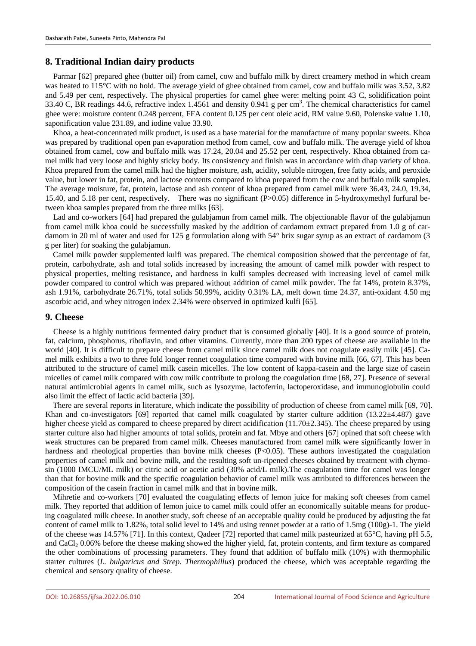## **8. Traditional Indian dairy products**

Parmar [62] prepared ghee (butter oil) from camel, cow and buffalo milk by direct creamery method in which cream was heated to 115°C with no hold. The average yield of ghee obtained from camel, cow and buffalo milk was 3.52, 3.82 and 5.49 per cent, respectively. The physical properties for camel ghee were: melting point 43 C, solidification point 33.40 C, BR readings 44.6, refractive index 1.4561 and density 0.941 g per cm<sup>3</sup>. The chemical characteristics for camel ghee were: moisture content 0.248 percent, FFA content 0.125 per cent oleic acid, RM value 9.60, Polenske value 1.10, saponification value 231.89, and iodine value 33.90.

Khoa, a heat-concentrated milk product, is used as a base material for the manufacture of many popular sweets. Khoa was prepared by traditional open pan evaporation method from camel, cow and buffalo milk. The average yield of khoa obtained from camel, cow and buffalo milk was 17.24, 20.04 and 25.52 per cent, respectively. Khoa obtained from camel milk had very loose and highly sticky body. Its consistency and finish was in accordance with dhap variety of khoa. Khoa prepared from the camel milk had the higher moisture, ash, acidity, soluble nitrogen, free fatty acids, and peroxide value, but lower in fat, protein, and lactose contents compared to khoa prepared from the cow and buffalo milk samples. The average moisture, fat, protein, lactose and ash content of khoa prepared from camel milk were 36.43, 24.0, 19.34, 15.40, and 5.18 per cent, respectively. There was no significant (P>0.05) difference in 5-hydroxymethyl furfural between khoa samples prepared from the three milks [63].

Lad and co-workers [64] had prepared the gulabjamun from camel milk. The objectionable flavor of the gulabjamun from camel milk khoa could be successfully masked by the addition of cardamom extract prepared from 1.0 g of cardamom in 20 ml of water and used for 125 g formulation along with 54° brix sugar syrup as an extract of cardamom (3 g per liter) for soaking the gulabjamun.

Camel milk powder supplemented kulfi was prepared. The chemical composition showed that the percentage of fat, protein, carbohydrate, ash and total solids increased by increasing the amount of camel milk powder with respect to physical properties, melting resistance, and hardness in kulfi samples decreased with increasing level of camel milk powder compared to control which was prepared without addition of camel milk powder. The fat 14%, protein 8.37%, ash 1.91%, carbohydrate 26.71%, total solids 50.99%, acidity 0.31% LA, melt down time 24.37, anti-oxidant 4.50 mg ascorbic acid, and whey nitrogen index 2.34% were observed in optimized kulfi [65].

### **9. Cheese**

Cheese is a highly nutritious fermented dairy product that is consumed globally [40]. It is a good source of protein, fat, calcium, phosphorus, riboflavin, and other vitamins. Currently, more than 200 types of cheese are available in the world [40]. It is difficult to prepare cheese from camel milk since camel milk does not coagulate easily milk [45]. Camel milk exhibits a two to three fold longer rennet coagulation time compared with bovine milk [66, 67]. This has been attributed to the structure of camel milk casein micelles. The low content of kappa-casein and the large size of casein micelles of camel milk compared with cow milk contribute to prolong the coagulation time [68, 27]. Presence of several natural antimicrobial agents in camel milk, such as lysozyme, lactoferrin, lactoperoxidase, and immunoglobulin could also limit the effect of lactic acid bacteria [39].

There are several reports in literature, which indicate the possibility of production of cheese from camel milk [69, 70]. Khan and co-investigators  $[69]$  reported that camel milk coagulated by starter culture addition  $(13.22 \pm 4.487)$  gave higher cheese yield as compared to cheese prepared by direct acidification (11.70±2.345). The cheese prepared by using starter culture also had higher amounts of total solids, protein and fat. Mbye and others [67] opined that soft cheese with weak structures can be prepared from camel milk. Cheeses manufactured from camel milk were significantly lower in hardness and rheological properties than bovine milk cheeses (P<0.05). These authors investigated the coagulation properties of camel milk and bovine milk, and the resulting soft un-ripened cheeses obtained by treatment with chymosin (1000 IMCU/ML milk) or citric acid or acetic acid (30% acid/L milk).The coagulation time for camel was longer than that for bovine milk and the specific coagulation behavior of camel milk was attributed to differences between the composition of the casein fraction in camel milk and that in bovine milk.

Mihretie and co-workers [70] evaluated the coagulating effects of lemon juice for making soft cheeses from camel milk. They reported that addition of lemon juice to camel milk could offer an economically suitable means for producing coagulated milk cheese. In another study, soft cheese of an acceptable quality could be produced by adjusting the fat content of camel milk to 1.82%, total solid level to 14% and using rennet powder at a ratio of 1.5mg (100g)-1. The yield of the cheese was 14.57% [71]. In this context, Qadeer [72] reported that camel milk pasteurized at 65°C, having pH 5.5, and CaCl2 0.06% before the cheese making showed the higher yield, fat, protein contents, and firm texture as compared the other combinations of processing parameters. They found that addition of buffalo milk (10%) with thermophilic starter cultures (*L. bulgaricus and Strep. Thermophillus*) produced the cheese, which was acceptable regarding the chemical and sensory quality of cheese.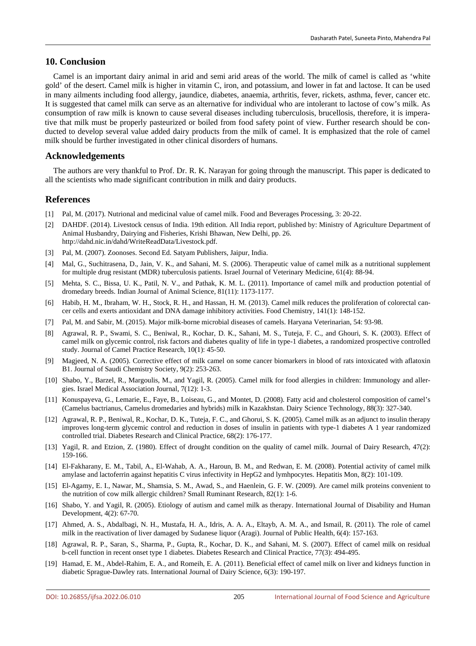#### **10. Conclusion**

Camel is an important dairy animal in arid and semi arid areas of the world. The milk of camel is called as 'white gold' of the desert. Camel milk is higher in vitamin C, iron, and potassium, and lower in fat and lactose. It can be used in many ailments including food allergy, jaundice, diabetes, anaemia, arthritis, fever, rickets, asthma, fever, cancer etc. It is suggested that camel milk can serve as an alternative for individual who are intolerant to lactose of cow's milk. As consumption of raw milk is known to cause several diseases including tuberculosis, brucellosis, therefore, it is imperative that milk must be properly pasteurized or boiled from food safety point of view. Further research should be conducted to develop several value added dairy products from the milk of camel. It is emphasized that the role of camel milk should be further investigated in other clinical disorders of humans.

#### **Acknowledgements**

The authors are very thankful to Prof. Dr. R. K. Narayan for going through the manuscript. This paper is dedicated to all the scientists who made significant contribution in milk and dairy products.

## **References**

- [1] Pal, M. (2017). Nutrional and medicinal value of camel milk. Food and Beverages Processing, 3: 20-22.
- [2] DAHDF. (2014). Livestock census of India. 19th edition. All India report, published by: Ministry of Agriculture Department of Animal Husbandry, Dairying and Fisheries, Krishi Bhawan, New Delhi, pp. 26. http://dahd.nic.in/dahd/WriteReadData/Livestock.pdf.
- [3] Pal, M. (2007). Zoonoses. Second Ed. Satyam Publishers, Jaipur, India.
- [4] Mal, G., Suchitrasena, D., Jain, V. K., and Sahani, M. S. (2006). Therapeutic value of camel milk as a nutritional supplement for multiple drug resistant (MDR) tuberculosis patients. Israel Journal of Veterinary Medicine, 61(4): 88-94.
- [5] Mehta, S. C., Bissa, U. K., Patil, N. V., and Pathak, K. M. L. (2011). Importance of camel milk and production potential of dromedary breeds. Indian Journal of Animal Science, 81(11): 1173-1177.
- [6] Habib, H. M., Ibraham, W. H., Stock, R. H., and Hassan, H. M. (2013). Camel milk reduces the proliferation of colorectal cancer cells and exerts antioxidant and DNA damage inhibitory activities. Food Chemistry, 141(1): 148-152.
- [7] Pal, M. and Sabir, M. (2015). Major milk-borne microbial diseases of camels. Haryana Veterinarian, 54: 93-98.
- [8] Agrawal, R. P., Swami, S. C., Beniwal, R., Kochar, D. K., Sahani, M. S., Tuteja, F. C., and Ghouri, S. K. (2003). Effect of camel milk on glycemic control, risk factors and diabetes quality of life in type-1 diabetes, a randomized prospective controlled study. Journal of Camel Practice Research, 10(1): 45-50.
- [9] Magjeed, N. A. (2005). Corrective effect of milk camel on some cancer biomarkers in blood of rats intoxicated with aflatoxin B1. Journal of Saudi Chemistry Society, 9(2): 253-263.
- [10] Shabo, Y., Barzel, R., Margoulis, M., and Yagil, R. (2005). Camel milk for food allergies in children: Immunology and allergies. Israel Medical Association Journal, 7(12): 1-3.
- [11] Konuspayeva, G., Lemarie, E., Faye, B., Loiseau, G., and Montet, D. (2008). Fatty acid and cholesterol composition of camel's (Camelus bactrianus, Camelus dromedaries and hybrids) milk in Kazakhstan. Dairy Science Technology, 88(3): 327-340.
- [12] Agrawal, R. P., Beniwal, R., Kochar, D. K., Tuteja, F. C., and Ghorui, S. K. (2005). Camel milk as an adjunct to insulin therapy improves long-term glycemic control and reduction in doses of insulin in patients with type-1 diabetes A 1 year randomized controlled trial. Diabetes Research and Clinical Practice, 68(2): 176-177.
- [13] Yagil, R. and Etzion, Z. (1980). Effect of drought condition on the quality of camel milk. Journal of Dairy Research, 47(2): 159-166.
- [14] El-Fakharany, E. M., Tabil, A., El-Wahab, A. A., Haroun, B. M., and Redwan, E. M. (2008). Potential activity of camel milk amylase and lactoferrin against hepatitis C virus infectivity in HepG2 and lymhpocytes. Hepatitis Mon, 8(2): 101-109.
- [15] El-Agamy, E. I., Nawar, M., Shamsia, S. M., Awad, S., and Haenlein, G. F. W. (2009). Are camel milk proteins convenient to the nutrition of cow milk allergic children? Small Ruminant Research, 82(1): 1-6.
- [16] Shabo, Y. and Yagil, R. (2005). Etiology of autism and camel milk as therapy. International Journal of Disability and Human Development, 4(2): 67-70.
- [17] Ahmed, A. S., Abdalbagi, N. H., Mustafa, H. A., Idris, A. A. A., Eltayb, A. M. A., and Ismail, R. (2011). The role of camel milk in the reactivation of liver damaged by Sudanese liquor (Aragi). Journal of Public Health, 6(4): 157-163.
- [18] Agrawal, R. P., Saran, S., Sharma, P., Gupta, R., Kochar, D. K., and Sahani, M. S. (2007). Effect of camel milk on residual b-cell function in recent onset type 1 diabetes. Diabetes Research and Clinical Practice, 77(3): 494-495.
- [19] Hamad, E. M., Abdel-Rahim, E. A., and Romeih, E. A. (2011). Beneficial effect of camel milk on liver and kidneys function in diabetic Sprague-Dawley rats. International Journal of Dairy Science, 6(3): 190-197.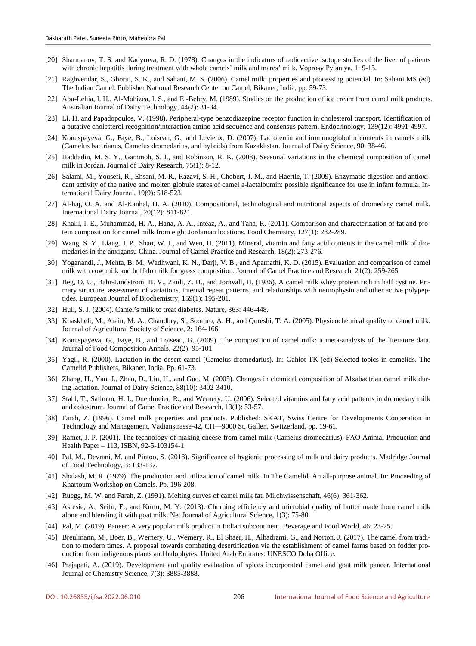- [20] Sharmanov, T. S. and Kadyrova, R. D. (1978). Changes in the indicators of radioactive isotope studies of the liver of patients with chronic hepatitis during treatment with whole camels' milk and mares' milk. Voprosy Pytaniya, 1: 9-13.
- [21] Raghvendar, S., Ghorui, S. K., and Sahani, M. S. (2006). Camel milk: properties and processing potential. In: Sahani MS (ed) The Indian Camel. Publisher National Research Center on Camel, Bikaner, India, pp. 59-73.
- [22] Abu-Lehia, I. H., Al-Mohizea, I. S., and El-Behry, M. (1989). Studies on the production of ice cream from camel milk products. Australian Journal of Dairy Technology, 44(2): 31-34.
- [23] Li, H. and Papadopoulos, V. (1998). Peripheral-type benzodiazepine receptor function in cholesterol transport. Identification of a putative cholesterol recognition/interaction amino acid sequence and consensus pattern. Endocrinology, 139(12): 4991-4997.
- [24] Konuspayeva, G., Faye, B., Loiseau, G., and Levieux, D. (2007). Lactoferrin and immunoglobulin contents in camels milk (Camelus bactrianus, Camelus dromedarius, and hybrids) from Kazakhstan. Journal of Dairy Science, 90: 38-46.
- [25] Haddadin, M. S. Y., Gammoh, S. I., and Robinson, R. K. (2008). Seasonal variations in the chemical composition of camel milk in Jordan. Journal of Dairy Research, 75(1): 8-12.
- [26] Salami, M., Yousefi, R., Ehsani, M. R., Razavi, S. H., Chobert, J. M., and Haertle, T. (2009). Enzymatic digestion and antioxidant activity of the native and molten globule states of camel a-lactalbumin: possible significance for use in infant formula. International Dairy Journal, 19(9): 518-523.
- [27] Al-haj, O. A. and Al-Kanhal, H. A. (2010). Compositional, technological and nutritional aspects of dromedary camel milk. International Dairy Journal, 20(12): 811-821.
- [28] Khalil, I. E., Muhammad, H. A., Hana, A. A., Inteaz, A., and Taha, R. (2011). Comparison and characterization of fat and protein composition for camel milk from eight Jordanian locations. Food Chemistry, 127(1): 282-289.
- [29] Wang, S. Y., Liang, J. P., Shao, W. J., and Wen, H. (2011). Mineral, vitamin and fatty acid contents in the camel milk of dromedaries in the anxigansu China. Journal of Camel Practice and Research, 18(2): 273-276.
- [30] Yoganandi, J., Mehta, B. M., Wadhwani, K. N., Darji, V. B., and Aparnathi, K. D. (2015). Evaluation and comparison of camel milk with cow milk and buffalo milk for gross composition. Journal of Camel Practice and Research, 21(2): 259-265.
- [31] Beg, O. U., Bahr-Lindstrom, H. V., Zaidi, Z. H., and Jornvall, H. (1986). A camel milk whey protein rich in half cystine. Primary structure, assessment of variations, internal repeat patterns, and relationships with neurophysin and other active polypeptides. European Journal of Biochemistry, 159(1): 195-201.
- [32] Hull, S. J. (2004). Camel's milk to treat diabetes. Nature, 363: 446-448.
- [33] Khaskheli, M., Arain, M. A., Chaudhry, S., Soomro, A. H., and Qureshi, T. A. (2005). Physicochemical quality of camel milk. Journal of Agricultural Society of Science, 2: 164-166.
- [34] Konuspayeva, G., Faye, B., and Loiseau, G. (2009). The composition of camel milk: a meta-analysis of the literature data. Journal of Food Composition Annals, 22(2): 95-101.
- [35] Yagil, R. (2000). Lactation in the desert camel (Camelus dromedarius). In: Gahlot TK (ed) Selected topics in camelids. The Camelid Publishers, Bikaner, India. Pp. 61-73.
- [36] Zhang, H., Yao, J., Zhao, D., Liu, H., and Guo, M. (2005). Changes in chemical composition of Alxabactrian camel milk during lactation. Journal of Dairy Science, 88(10): 3402-3410.
- [37] Stahl, T., Sallman, H. I., Duehlmeier, R., and Wernery, U. (2006). Selected vitamins and fatty acid patterns in dromedary milk and colostrum. Journal of Camel Practice and Research, 13(1): 53-57.
- [38] Farah, Z. (1996). Camel milk properties and products. Published: SKAT, Swiss Centre for Developments Cooperation in Technology and Management, Vadianstrasse-42, CH—9000 St. Gallen, Switzerland, pp. 19-61.
- [39] Ramet, J. P. (2001). The technology of making cheese from camel milk (Camelus dromedarius). FAO Animal Production and Health Paper – 113, ISBN, 92-5-103154-1.
- [40] Pal, M., Devrani, M. and Pintoo, S. (2018). Significance of hygienic processing of milk and dairy products. Madridge Journal of Food Technology, 3: 133-137.
- [41] Shalash, M. R. (1979). The production and utilization of camel milk. In The Camelid. An all-purpose animal. In: Proceeding of Khartoum Workshop on Camels. Pp. 196-208.
- [42] Ruegg, M. W. and Farah, Z. (1991). Melting curves of camel milk fat. Milchwissenschaft, 46(6): 361-362.
- [43] Asresie, A., Seifu, E., and Kurtu, M. Y. (2013). Churning efficiency and microbial quality of butter made from camel milk alone and blending it with goat milk. Net Journal of Agricultural Science, 1(3): 75-80.
- [44] Pal, M. (2019). Paneer: A very popular milk product in Indian subcontinent. Beverage and Food World, 46: 23-25.
- [45] Breulmann, M., Boer, B., Wernery, U., Wernery, R., El Shaer, H., Alhadrami, G., and Norton, J. (2017). The camel from tradition to modern times. A proposal towards combating desertification via the establishment of camel farms based on fodder production from indigenous plants and halophytes. United Arab Emirates: UNESCO Doha Office.
- [46] Prajapati, A. (2019). Development and quality evaluation of spices incorporated camel and goat milk paneer. International Journal of Chemistry Science, 7(3): 3885-3888.